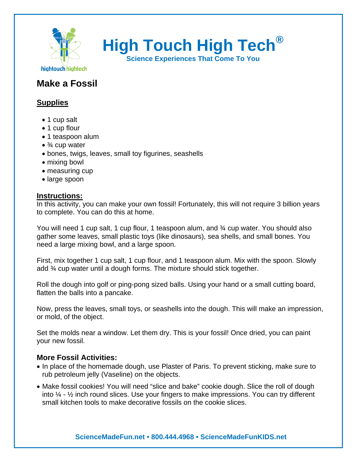

**High Touch High Tech®**

**Science Experiences That Come To You** 

# **Make a Fossil**

## **Supplies**

- 1 cup salt
- 1 cup flour
- 1 teaspoon alum
- $\bullet$   $\frac{3}{4}$  cup water
- bones, twigs, leaves, small toy figurines, seashells
- mixing bowl
- measuring cup
- large spoon

#### **Instructions:**

In this activity, you can make your own fossil! Fortunately, this will not require 3 billion years to complete. You can do this at home.

You will need 1 cup salt, 1 cup flour, 1 teaspoon alum, and  $\frac{3}{4}$  cup water. You should also gather some leaves, small plastic toys (like dinosaurs), sea shells, and small bones. You need a large mixing bowl, and a large spoon.

First, mix together 1 cup salt, 1 cup flour, and 1 teaspoon alum. Mix with the spoon. Slowly add ¾ cup water until a dough forms. The mixture should stick together.

Roll the dough into golf or ping-pong sized balls. Using your hand or a small cutting board, flatten the balls into a pancake.

Now, press the leaves, small toys, or seashells into the dough. This will make an impression, or mold, of the object.

Set the molds near a window. Let them dry. This is your fossil! Once dried, you can paint your new fossil.

### **More Fossil Activities:**

- In place of the homemade dough, use Plaster of Paris. To prevent sticking, make sure to rub petroleum jelly (Vaseline) on the objects.
- Make fossil cookies! You will need "slice and bake" cookie dough. Slice the roll of dough into  $\frac{1}{4}$  -  $\frac{1}{2}$  inch round slices. Use your fingers to make impressions. You can try different small kitchen tools to make decorative fossils on the cookie slices.